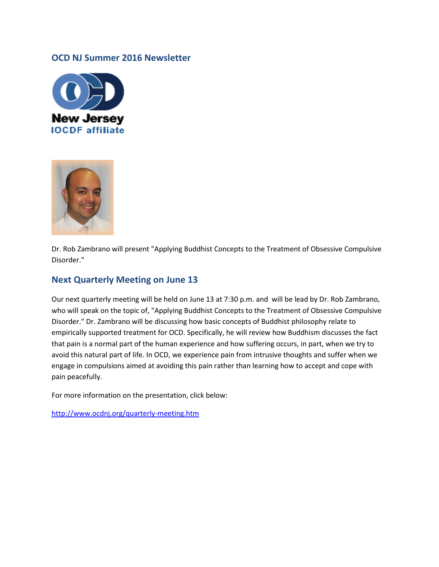#### **OCD NJ Summer 2016 Newsletter**





Dr. Rob Zambrano will present "Applying Buddhist Concepts to the Treatment of Obsessive Compulsive Disorder."

### **Next Quarterly Meeting on June 13**

Our next quarterly meeting will be held on June 13 at 7:30 p.m. and will be lead by Dr. Rob Zambrano, who will speak on the topic of, "Applying Buddhist Concepts to the Treatment of Obsessive Compulsive Disorder." Dr. Zambrano will be discussing how basic concepts of Buddhist philosophy relate to empirically supported treatment for OCD. Specifically, he will review how Buddhism discusses the fact that pain is a normal part of the human experience and how suffering occurs, in part, when we try to avoid this natural part of life. In OCD, we experience pain from intrusive thoughts and suffer when we engage in compulsions aimed at avoiding this pain rather than learning how to accept and cope with pain peacefully.

For more information on the presentation, click below:

<http://www.ocdnj.org/quarterly-meeting.htm>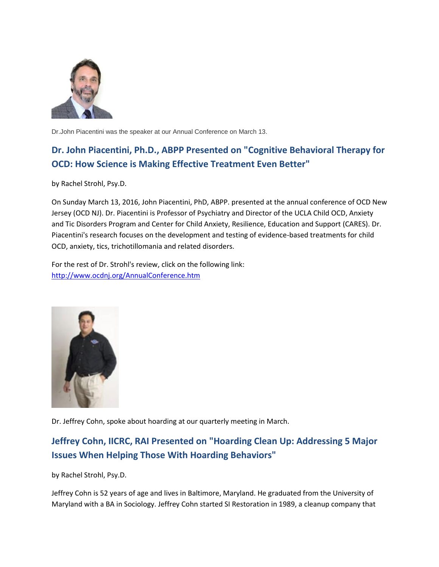

Dr.John Piacentini was the speaker at our Annual Conference on March 13.

# **Dr. John Piacentini, Ph.D., ABPP Presented on "Cognitive Behavioral Therapy for OCD: How Science is Making Effective Treatment Even Better"**

by Rachel Strohl, Psy.D.

On Sunday March 13, 2016, John Piacentini, PhD, ABPP. presented at the annual conference of OCD New Jersey (OCD NJ). Dr. Piacentini is Professor of Psychiatry and Director of the UCLA Child OCD, Anxiety and Tic Disorders Program and Center for Child Anxiety, Resilience, Education and Support (CARES). Dr. Piacentini's research focuses on the development and testing of evidence-based treatments for child OCD, anxiety, tics, trichotillomania and related disorders.

For the rest of Dr. Strohl's review, click on the following link: <http://www.ocdnj.org/AnnualConference.htm>



Dr. Jeffrey Cohn, spoke about hoarding at our quarterly meeting in March.

## **Jeffrey Cohn, IICRC, RAI Presented on "Hoarding Clean Up: Addressing 5 Major Issues When Helping Those With Hoarding Behaviors"**

by Rachel Strohl, Psy.D.

Jeffrey Cohn is 52 years of age and lives in Baltimore, Maryland. He graduated from the University of Maryland with a BA in Sociology. Jeffrey Cohn started SI Restoration in 1989, a cleanup company that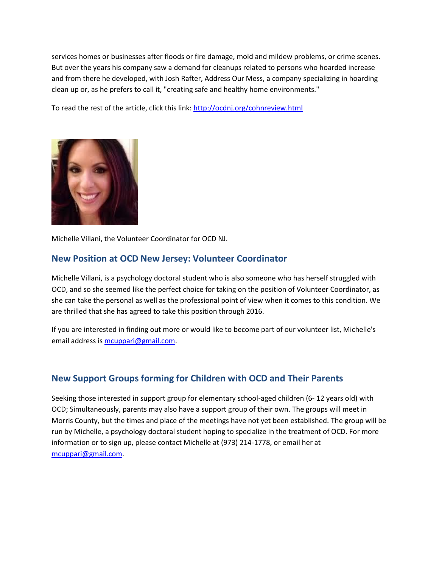services homes or businesses after floods or fire damage, mold and mildew problems, or crime scenes. But over the years his company saw a demand for cleanups related to persons who hoarded increase and from there he developed, with Josh Rafter, Address Our Mess, a company specializing in hoarding clean up or, as he prefers to call it, "creating safe and healthy home environments."

To read the rest of the article, click this link:<http://ocdnj.org/cohnreview.html>



Michelle Villani, the Volunteer Coordinator for OCD NJ.

### **New Position at OCD New Jersey: Volunteer Coordinator**

Michelle Villani, is a psychology doctoral student who is also someone who has herself struggled with OCD, and so she seemed like the perfect choice for taking on the position of Volunteer Coordinator, as she can take the personal as well as the professional point of view when it comes to this condition. We are thrilled that she has agreed to take this position through 2016.

If you are interested in finding out more or would like to become part of our volunteer list, Michelle's email address i[s mcuppari@gmail.com.](mailto:mcuppari@gmail.com)

## **New Support Groups forming for Children with OCD and Their Parents**

Seeking those interested in support group for elementary school-aged children (6- 12 years old) with OCD; Simultaneously, parents may also have a support group of their own. The groups will meet in Morris County, but the times and place of the meetings have not yet been established. The group will be run by Michelle, a psychology doctoral student hoping to specialize in the treatment of OCD. For more information or to sign up, please contact Michelle at (973) 214-1778, or email her at [mcuppari@gmail.com.](mailto:mcuppari@gmail.com)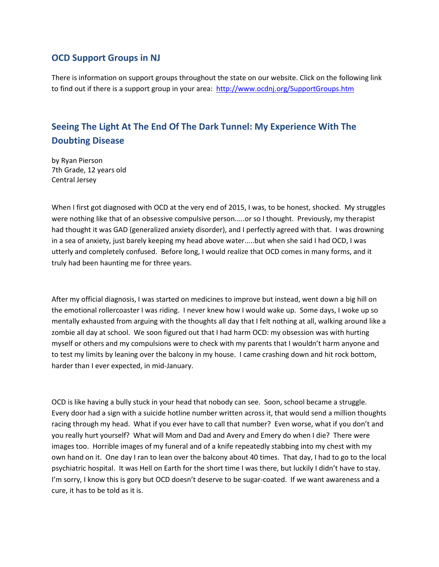### **OCD Support Groups in NJ**

There is information on support groups throughout the state on our website. Click on the following link to find out if there is a support group in your area:<http://www.ocdnj.org/SupportGroups.htm>

## **Seeing The Light At The End Of The Dark Tunnel: My Experience With The Doubting Disease**

by Ryan Pierson 7th Grade, 12 years old Central Jersey

When I first got diagnosed with OCD at the very end of 2015, I was, to be honest, shocked. My struggles were nothing like that of an obsessive compulsive person.....or so I thought. Previously, my therapist had thought it was GAD (generalized anxiety disorder), and I perfectly agreed with that. I was drowning in a sea of anxiety, just barely keeping my head above water.....but when she said I had OCD, I was utterly and completely confused. Before long, I would realize that OCD comes in many forms, and it truly had been haunting me for three years.

After my official diagnosis, I was started on medicines to improve but instead, went down a big hill on the emotional rollercoaster I was riding. I never knew how I would wake up. Some days, I woke up so mentally exhausted from arguing with the thoughts all day that I felt nothing at all, walking around like a zombie all day at school. We soon figured out that I had harm OCD: my obsession was with hurting myself or others and my compulsions were to check with my parents that I wouldn't harm anyone and to test my limits by leaning over the balcony in my house. I came crashing down and hit rock bottom, harder than I ever expected, in mid-January.

OCD is like having a bully stuck in your head that nobody can see. Soon, school became a struggle. Every door had a sign with a suicide hotline number written across it, that would send a million thoughts racing through my head. What if you ever have to call that number? Even worse, what if you don't and you really hurt yourself? What will Mom and Dad and Avery and Emery do when I die? There were images too. Horrible images of my funeral and of a knife repeatedly stabbing into my chest with my own hand on it. One day I ran to lean over the balcony about 40 times. That day, I had to go to the local psychiatric hospital. It was Hell on Earth for the short time I was there, but luckily I didn't have to stay. I'm sorry, I know this is gory but OCD doesn't deserve to be sugar-coated. If we want awareness and a cure, it has to be told as it is.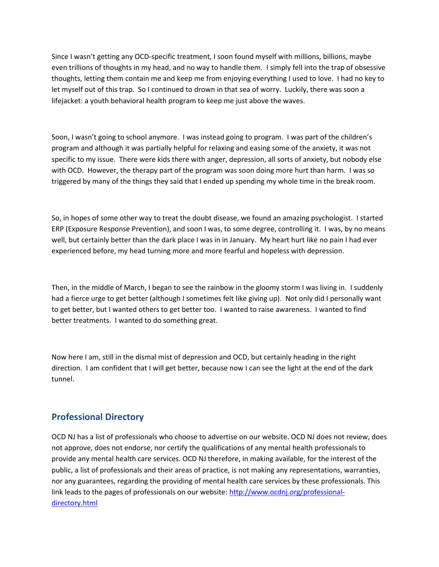Since I wasn't getting any OCD-specific treatment, I soon found myself with millions, billions, maybe even trillions of thoughts in my head, and no way to handle them. I simply fell into the trap of obsessive thoughts, letting them contain me and keep me from enjoying everything I used to love. I had no key to let myself out of this trap. So I continued to drown in that sea of worry. Luckily, there was soon a lifejacket: a youth behavioral health program to keep me just above the waves.

Soon, I wasn't going to school anymore. I was instead going to program. I was part of the children's program and although it was partially helpful for relaxing and easing some of the anxiety, it was not specific to my issue. There were kids there with anger, depression, all sorts of anxiety, but nobody else with OCD. However, the therapy part of the program was soon doing more hurt than harm. I was so triggered by many of the things they said that I ended up spending my whole time in the break room.

So, in hopes of some other way to treat the doubt disease, we found an amazing psychologist. I started ERP (Exposure Response Prevention), and soon I was, to some degree, controlling it. I was, by no means well, but certainly better than the dark place I was in in January. My heart hurt like no pain I had ever experienced before, my head turning more and more fearful and hopeless with depression.

Then, in the middle of March, I began to see the rainbow in the gloomy storm I was living in. I suddenly had a fierce urge to get better (although I sometimes felt like giving up). Not only did I personally want to get better, but I wanted others to get better too. I wanted to raise awareness. I wanted to find better treatments. I wanted to do something great.

Now here I am, still in the dismal mist of depression and OCD, but certainly heading in the right direction. I am confident that I will get better, because now I can see the light at the end of the dark tunnel.

### **Professional Directory**

OCD NJ has a list of professionals who choose to advertise on our website. OCD NJ does not review, does not approve, does not endorse, nor certify the qualifications of any mental health professionals to provide any mental health care services. OCD NJ therefore, in making available, for the interest of the public, a list of professionals and their areas of practice, is not making any representations, warranties, nor any guarantees, regarding the providing of mental health care services by these professionals. This link leads to the pages of professionals on our website[: http://www.ocdnj.org/professional](http://www.ocdnj.org/professional-directory.html)[directory.html](http://www.ocdnj.org/professional-directory.html)